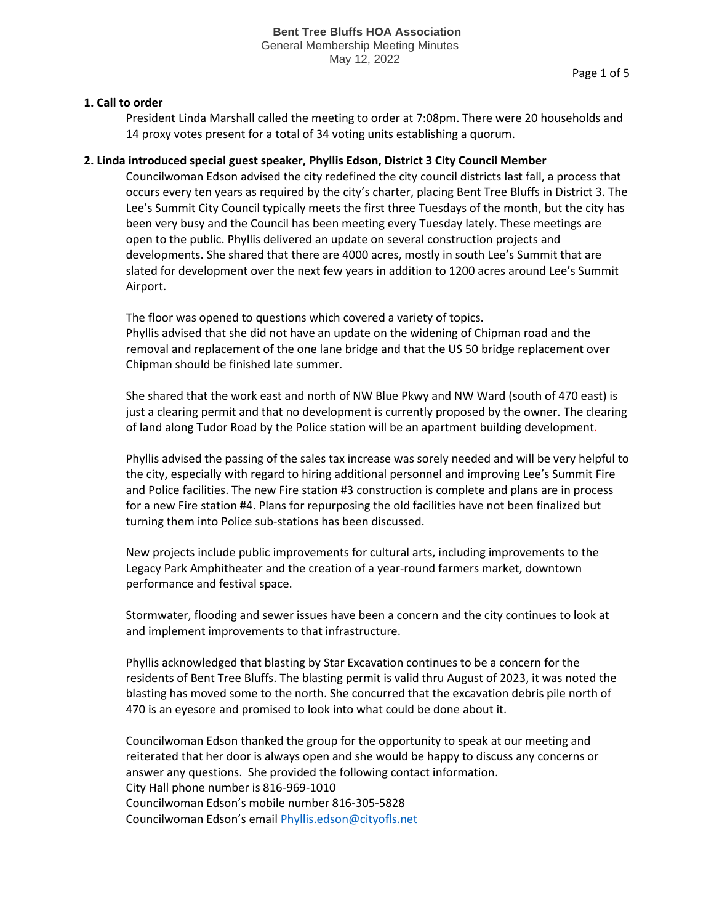# **1. Call to order**

President Linda Marshall called the meeting to order at 7:08pm. There were 20 households and 14 proxy votes present for a total of 34 voting units establishing a quorum.

# **2. Linda introduced special guest speaker, Phyllis Edson, District 3 City Council Member**

Councilwoman Edson advised the city redefined the city council districts last fall, a process that occurs every ten years as required by the city's charter, placing Bent Tree Bluffs in District 3. The Lee's Summit City Council typically meets the first three Tuesdays of the month, but the city has been very busy and the Council has been meeting every Tuesday lately. These meetings are open to the public. Phyllis delivered an update on several construction projects and developments. She shared that there are 4000 acres, mostly in south Lee's Summit that are slated for development over the next few years in addition to 1200 acres around Lee's Summit Airport.

The floor was opened to questions which covered a variety of topics. Phyllis advised that she did not have an update on the widening of Chipman road and the removal and replacement of the one lane bridge and that the US 50 bridge replacement over Chipman should be finished late summer.

She shared that the work east and north of NW Blue Pkwy and NW Ward (south of 470 east) is just a clearing permit and that no development is currently proposed by the owner. The clearing of land along Tudor Road by the Police station will be an apartment building development.

Phyllis advised the passing of the sales tax increase was sorely needed and will be very helpful to the city, especially with regard to hiring additional personnel and improving Lee's Summit Fire and Police facilities. The new Fire station #3 construction is complete and plans are in process for a new Fire station #4. Plans for repurposing the old facilities have not been finalized but turning them into Police sub-stations has been discussed.

New projects include public improvements for cultural arts, including improvements to the Legacy Park Amphitheater and the creation of a year-round farmers market, downtown performance and festival space.

Stormwater, flooding and sewer issues have been a concern and the city continues to look at and implement improvements to that infrastructure.

Phyllis acknowledged that blasting by Star Excavation continues to be a concern for the residents of Bent Tree Bluffs. The blasting permit is valid thru August of 2023, it was noted the blasting has moved some to the north. She concurred that the excavation debris pile north of 470 is an eyesore and promised to look into what could be done about it.

Councilwoman Edson thanked the group for the opportunity to speak at our meeting and reiterated that her door is always open and she would be happy to discuss any concerns or answer any questions. She provided the following contact information. City Hall phone number is 816-969-1010 Councilwoman Edson's mobile number 816-305-5828 Councilwoman Edson's emai[l Phyllis.edson@cityofls.net](mailto:Phyllis.edson@cityofls.net)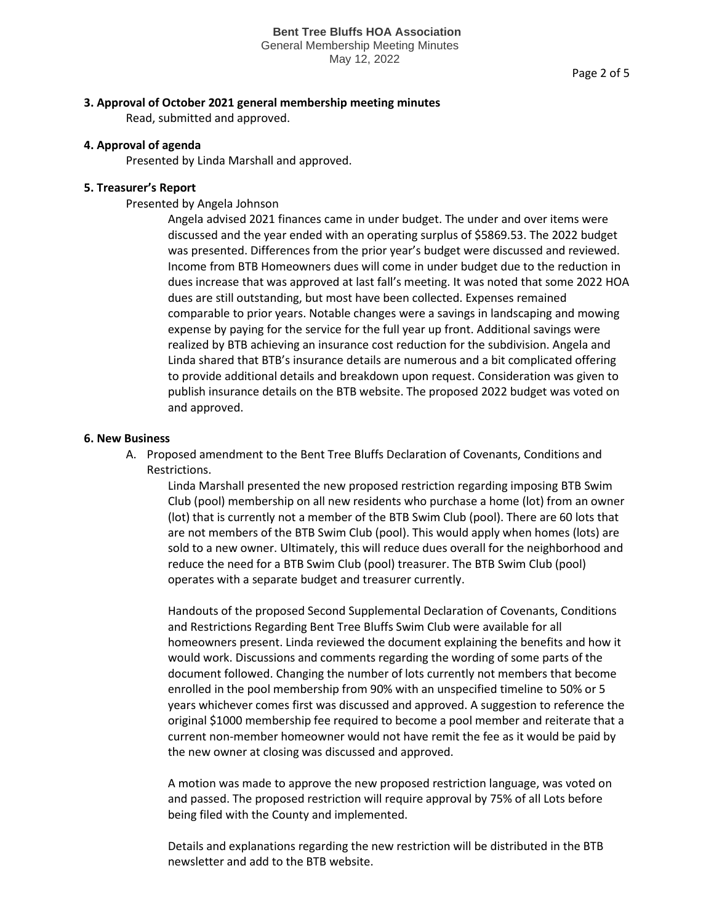### **3. Approval of October 2021 general membership meeting minutes**

Read, submitted and approved.

### **4. Approval of agenda**

Presented by Linda Marshall and approved.

### **5. Treasurer's Report**

Presented by Angela Johnson

Angela advised 2021 finances came in under budget. The under and over items were discussed and the year ended with an operating surplus of \$5869.53. The 2022 budget was presented. Differences from the prior year's budget were discussed and reviewed. Income from BTB Homeowners dues will come in under budget due to the reduction in dues increase that was approved at last fall's meeting. It was noted that some 2022 HOA dues are still outstanding, but most have been collected. Expenses remained comparable to prior years. Notable changes were a savings in landscaping and mowing expense by paying for the service for the full year up front. Additional savings were realized by BTB achieving an insurance cost reduction for the subdivision. Angela and Linda shared that BTB's insurance details are numerous and a bit complicated offering to provide additional details and breakdown upon request. Consideration was given to publish insurance details on the BTB website. The proposed 2022 budget was voted on and approved.

## **6. New Business**

A. Proposed amendment to the Bent Tree Bluffs Declaration of Covenants, Conditions and Restrictions.

Linda Marshall presented the new proposed restriction regarding imposing BTB Swim Club (pool) membership on all new residents who purchase a home (lot) from an owner (lot) that is currently not a member of the BTB Swim Club (pool). There are 60 lots that are not members of the BTB Swim Club (pool). This would apply when homes (lots) are sold to a new owner. Ultimately, this will reduce dues overall for the neighborhood and reduce the need for a BTB Swim Club (pool) treasurer. The BTB Swim Club (pool) operates with a separate budget and treasurer currently.

Handouts of the proposed Second Supplemental Declaration of Covenants, Conditions and Restrictions Regarding Bent Tree Bluffs Swim Club were available for all homeowners present. Linda reviewed the document explaining the benefits and how it would work. Discussions and comments regarding the wording of some parts of the document followed. Changing the number of lots currently not members that become enrolled in the pool membership from 90% with an unspecified timeline to 50% or 5 years whichever comes first was discussed and approved. A suggestion to reference the original \$1000 membership fee required to become a pool member and reiterate that a current non-member homeowner would not have remit the fee as it would be paid by the new owner at closing was discussed and approved.

A motion was made to approve the new proposed restriction language, was voted on and passed. The proposed restriction will require approval by 75% of all Lots before being filed with the County and implemented.

Details and explanations regarding the new restriction will be distributed in the BTB newsletter and add to the BTB website.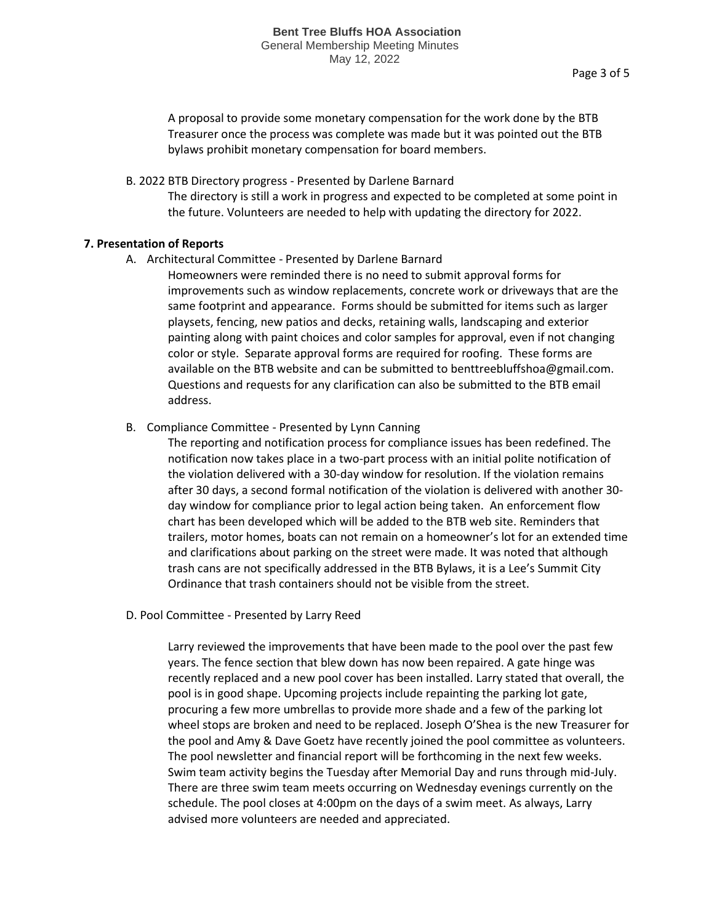A proposal to provide some monetary compensation for the work done by the BTB Treasurer once the process was complete was made but it was pointed out the BTB bylaws prohibit monetary compensation for board members.

B. 2022 BTB Directory progress - Presented by Darlene Barnard The directory is still a work in progress and expected to be completed at some point in the future. Volunteers are needed to help with updating the directory for 2022.

# **7. Presentation of Reports**

- A. Architectural Committee Presented by Darlene Barnard
	- Homeowners were reminded there is no need to submit approval forms for improvements such as window replacements, concrete work or driveways that are the same footprint and appearance. Forms should be submitted for items such as larger playsets, fencing, new patios and decks, retaining walls, landscaping and exterior painting along with paint choices and color samples for approval, even if not changing color or style. Separate approval forms are required for roofing. These forms are available on the BTB website and can be submitted to benttreebluffshoa@gmail.com. Questions and requests for any clarification can also be submitted to the BTB email address.
- B. Compliance Committee Presented by Lynn Canning

The reporting and notification process for compliance issues has been redefined. The notification now takes place in a two-part process with an initial polite notification of the violation delivered with a 30-day window for resolution. If the violation remains after 30 days, a second formal notification of the violation is delivered with another 30 day window for compliance prior to legal action being taken. An enforcement flow chart has been developed which will be added to the BTB web site. Reminders that trailers, motor homes, boats can not remain on a homeowner's lot for an extended time and clarifications about parking on the street were made. It was noted that although trash cans are not specifically addressed in the BTB Bylaws, it is a Lee's Summit City Ordinance that trash containers should not be visible from the street.

D. Pool Committee - Presented by Larry Reed

Larry reviewed the improvements that have been made to the pool over the past few years. The fence section that blew down has now been repaired. A gate hinge was recently replaced and a new pool cover has been installed. Larry stated that overall, the pool is in good shape. Upcoming projects include repainting the parking lot gate, procuring a few more umbrellas to provide more shade and a few of the parking lot wheel stops are broken and need to be replaced. Joseph O'Shea is the new Treasurer for the pool and Amy & Dave Goetz have recently joined the pool committee as volunteers. The pool newsletter and financial report will be forthcoming in the next few weeks. Swim team activity begins the Tuesday after Memorial Day and runs through mid-July. There are three swim team meets occurring on Wednesday evenings currently on the schedule. The pool closes at 4:00pm on the days of a swim meet. As always, Larry advised more volunteers are needed and appreciated.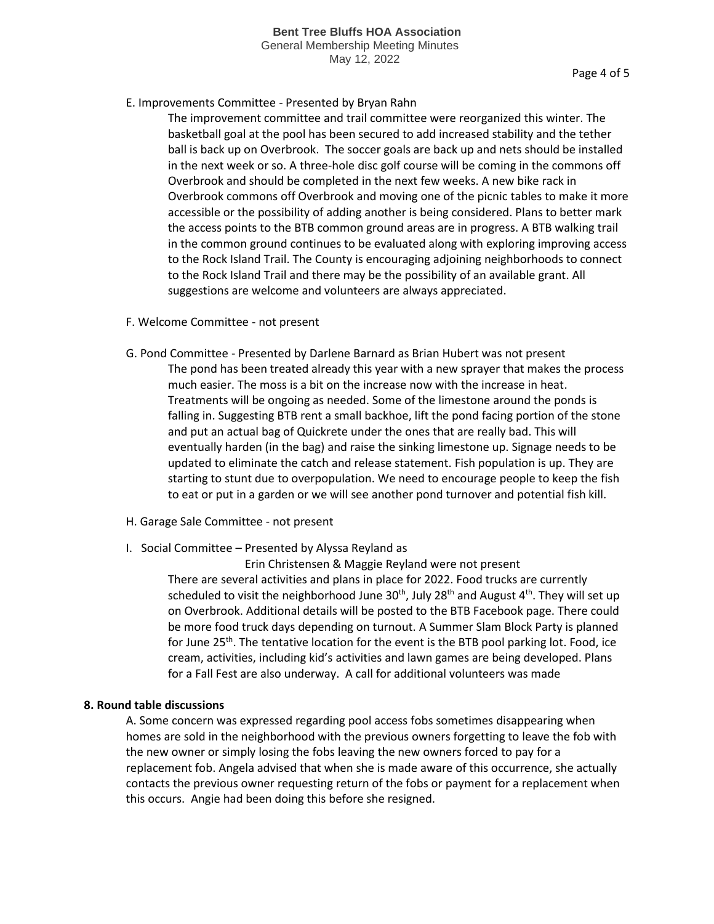May 12, 2022

# E. Improvements Committee - Presented by Bryan Rahn

The improvement committee and trail committee were reorganized this winter. The basketball goal at the pool has been secured to add increased stability and the tether ball is back up on Overbrook. The soccer goals are back up and nets should be installed in the next week or so. A three-hole disc golf course will be coming in the commons off Overbrook and should be completed in the next few weeks. A new bike rack in Overbrook commons off Overbrook and moving one of the picnic tables to make it more accessible or the possibility of adding another is being considered. Plans to better mark the access points to the BTB common ground areas are in progress. A BTB walking trail in the common ground continues to be evaluated along with exploring improving access to the Rock Island Trail. The County is encouraging adjoining neighborhoods to connect to the Rock Island Trail and there may be the possibility of an available grant. All suggestions are welcome and volunteers are always appreciated.

- F. Welcome Committee not present
- G. Pond Committee Presented by Darlene Barnard as Brian Hubert was not present The pond has been treated already this year with a new sprayer that makes the process much easier. The moss is a bit on the increase now with the increase in heat. Treatments will be ongoing as needed. Some of the limestone around the ponds is falling in. Suggesting BTB rent a small backhoe, lift the pond facing portion of the stone and put an actual bag of Quickrete under the ones that are really bad. This will eventually harden (in the bag) and raise the sinking limestone up. Signage needs to be updated to eliminate the catch and release statement. Fish population is up. They are starting to stunt due to overpopulation. We need to encourage people to keep the fish to eat or put in a garden or we will see another pond turnover and potential fish kill.
- H. Garage Sale Committee not present
- I. Social Committee Presented by Alyssa Reyland as

 Erin Christensen & Maggie Reyland were not present There are several activities and plans in place for 2022. Food trucks are currently scheduled to visit the neighborhood June  $30<sup>th</sup>$ , July 28<sup>th</sup> and August 4<sup>th</sup>. They will set up on Overbrook. Additional details will be posted to the BTB Facebook page. There could be more food truck days depending on turnout. A Summer Slam Block Party is planned for June  $25<sup>th</sup>$ . The tentative location for the event is the BTB pool parking lot. Food, ice cream, activities, including kid's activities and lawn games are being developed. Plans for a Fall Fest are also underway. A call for additional volunteers was made

# **8. Round table discussions**

A. Some concern was expressed regarding pool access fobs sometimes disappearing when homes are sold in the neighborhood with the previous owners forgetting to leave the fob with the new owner or simply losing the fobs leaving the new owners forced to pay for a replacement fob. Angela advised that when she is made aware of this occurrence, she actually contacts the previous owner requesting return of the fobs or payment for a replacement when this occurs. Angie had been doing this before she resigned.